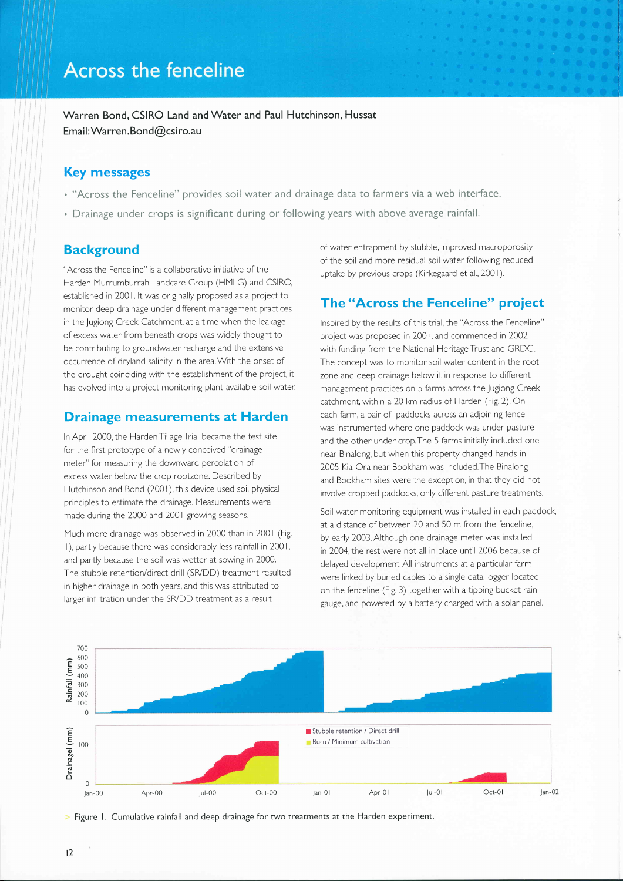Warren Bond, CSIRO Land and Water and Paul Hutchinson, Hussat Email: Warren. Bond@csiro.au

### Key messages

- . "Across the Fenceline" provides soil water and drainage data to farmers via a web interface.
- . Drainage under crops is significant during or following years with above average rainfall.

## **Background**

"Across the Fenceline" is a collaborative initiative of the Harden Murrumburrah Landcare Group (HMLG) and CSIRO, established in 200 l. lt was originally proposed as a project to monitor deep drainage under different management practices in the Jugiong Creek Catchment, at a time when the leakage of excess water from beneath crops was widely thought to be contributing to groundwater recharge and the extensive occurrence of dryland salinity in the area.With the onset of the drought coinciding with the establishment of the project, it has evolved into a project monitoring plant-available soil water:

## Drainage measurements at Harden

In April 2000, the Harden Tillage Trial became the test site for the flrst prototype of a newly conceived "drainage meter" for measuring the downward percolation of excess water below the crop rootzone. Described by Hutchinson and Bond (2001), this device used soil physical principles to estimate the drainage. Measurements were made during the 2000 and 2001 growing seasons.

Much more drainage was observed in 2000 than in 2001 (Fig. l), partly because there was considerably less rainfall in 200 l, and partly because the soil was wetter at sowing in 2000. The stubble retention/direct drill (SB/DD) treatment resulted in higher drainage in both years, and this was attributed to larger inflltration under the SVDD treatment as a result

of water entrapment by stubble, improved macroporosity of the soil and more residual soil water following reduced uptake by previous crops (Kirkegaard et al., 200 <sup>I</sup>).

# The "Across the Fenceline" project

lnspired by the results of this trial, the "Across the Fenceline" project was proposed in 2001, and commenced in 2002 with funding from the National Heritage Trust and GRDC. The concept was to monitor soil water content in the root zone and deep drainage below it in response to different management practices on 5 farms across the Jugiong Creek catchment, within a 20 km radius of Harden (Fig.2). On each farm, a pair of paddocks across an adjoining fence was instrumented where one paddock was under pasture and the other under crop.The 5 farms initially included one near Binalong, but when this property changed hands in 2005 Kia-Ora near Bookham was included,The Binalong and Bookham sites were the exception, in that they did not involve cropped paddocks, only different pasture treatments.

Soil water monitoring equipment was installed in each paddock, at a distance of between 20 and 50 m from the fenceline, by early 2003. Although one drainage meter was installed in 2004, the rest were not all in place until 2006 because of delayed development. All instruments at a particular farm were linked by buried cables to a single data logger located on the fenceline (Fig. 3) together with a tipping bucket rain gauge, and powered by a battery charged with a solar panel